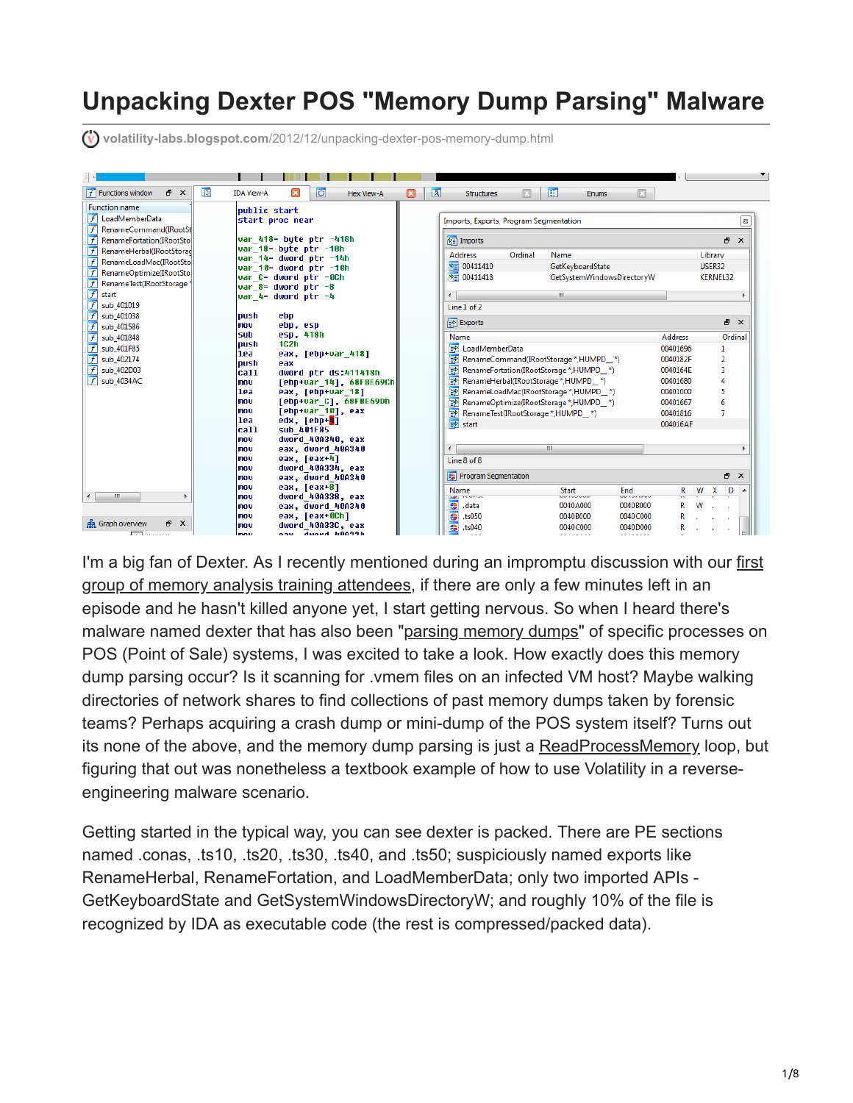# **Unpacking Dexter POS "Memory Dump Parsing" Malware**

**volatility-labs.blogspot.com**[/2012/12/unpacking-dexter-pos-memory-dump.html](https://volatility-labs.blogspot.com/2012/12/unpacking-dexter-pos-memory-dump.html)

| 国<br><b>B</b> X<br>$f$ Functions window | o<br><b>IDA View-A</b><br>$\vert x \vert$<br>Hex View-A   | 阻<br>$\sqrt{a}$<br>囧<br>$\overline{\mathbf{x}}$<br>Structures<br>Enums              |                    |
|-----------------------------------------|-----------------------------------------------------------|-------------------------------------------------------------------------------------|--------------------|
| <b>Function name</b>                    | public start                                              |                                                                                     |                    |
| $f$ LoadMemberData                      | start proc near                                           | Imports, Exports, Program Segmentation                                              | $\boldsymbol{\Xi}$ |
| RenameCommand(IRootSt                   |                                                           |                                                                                     |                    |
| RenameFortation(IRootSto                | var 418= byte ptr -418h<br>var $18$ = bute ptr $-18h$     | <b>YE</b> Imports                                                                   | 日 ×                |
| RenameHerbal(IRootStorad                | var 14= dword ptr -14h                                    | Ordinal<br>Name<br><b>Address</b>                                                   | Library            |
| RenameLoadMac(IRootSto                  | var 10= dword ptr -10h                                    | 宿 00411410<br>GetKeyboardState                                                      | USER32             |
| RenameOptimize(IRootSto                 | var C= dword ptr -0Ch                                     | 图 00411418<br>GetSystemWindowsDirectoryW                                            | <b>KERNEL32</b>    |
| RenameTest(IRootStorage)<br>f           | var $8 =$ dword ptr $-8$                                  |                                                                                     |                    |
| start<br>sub_401019                     | $var$ 4= dword ptr $-4$                                   | m.                                                                                  |                    |
| sub 401038                              | push<br>ebp                                               | Line 1 of 2                                                                         |                    |
| sub_401586                              | ebp, esp<br>mov                                           | Exports                                                                             | F X                |
| sub 401848                              | esp, 418h<br>lsub                                         | <b>Address</b><br>Name                                                              | Ordinal            |
| sub 401F85                              | 102h<br>push                                              | DadMemberData<br>00401696                                                           | 1                  |
| sub_402174                              | lea<br>eax, [ebp+var 418]                                 | <b>EXP</b> RenameCommand(IRootStorage *,HUMPD_*)<br>0040182F                        |                    |
| sub_402D03                              | loush<br>eax<br>lca11<br>dword ptr ds:411418h             | RenameFortation(IRootStorage *,HUMPD_*)<br>0040164E                                 | в                  |
| $f$ sub 4034AC                          | [ebp+var 14], 68FBE69Ch<br>mou                            | RenameHerbal(IRootStorage *,HUMPD_*)<br>00401680                                    |                    |
|                                         | lea<br>eax, [ebp+var 18]                                  | RenameLoadMac(IRootStorage *,HUMPD_*)<br>00401000                                   |                    |
|                                         | [ebp+var C], 68FBE69Dh<br>mov                             | RenameOptimize(IRootStorage *,HUMPD *)<br>酏<br>00401667                             |                    |
|                                         | [ebp+var 10], eax<br>lmov                                 | 國<br>RenameTest(IRootStorage *,HUMPD_*)<br>00401816                                 |                    |
|                                         | lea<br>edx, [ebp+ <mark>4</mark> ]<br>lca11<br>sub 401F85 | <b>in</b> start<br>004016AF                                                         |                    |
|                                         | dword 40A340, eax<br>mou                                  |                                                                                     |                    |
|                                         | eax, dword 40A340<br>l mov                                | m.<br>$\overline{a}$                                                                |                    |
|                                         | eax, [eax+4]<br>lmov                                      | Line 8 of 8                                                                         |                    |
|                                         | dword 40A334, eax<br>lmov                                 |                                                                                     | a x                |
|                                         | eax, dword 40A340<br><b>Imov</b>                          | <sup>4</sup> Program Segmentation                                                   |                    |
| $\leftarrow$<br>m.                      | eax, [eax+8]<br>l mov<br>dword 40A338, eax<br>lmov        | End<br><b>Start</b><br>R<br>Name<br>aa iyo waa<br>.<br><b>COMPANY</b><br><b>NPT</b> | W X<br>D           |
|                                         | eax, dword 40A340<br>lmov                                 | 冊<br>0040B000<br>0040A000<br>.data                                                  | w                  |
|                                         | eax, [eax+0Ch]<br><b>Inov</b>                             | 需<br>.ts050<br>0040B000<br>0040C000                                                 |                    |
| 点 Graph overview<br>F X                 | dword 40A33C. eax<br>mov                                  | 帶<br>.ts040<br>0040C000<br>0040D000                                                 |                    |
| . <del>.</del>                          | aav dward 600334<br>mou                                   | -- -- <i>-</i> ---                                                                  |                    |

[I'm a big fan of Dexter. As I recently mentioned during an impromptu discussion with our first](http://volatility-labs.blogspot.com/2012/11/windows-memory-forensics-training-for.html) group of memory analysis training attendees, if there are only a few minutes left in an episode and he hasn't killed anyone yet, I start getting nervous. So when I heard there's malware named dexter that has also been "[parsing memory dumps"](http://blog.seculert.com/2012/12/dexter-draining-blood-out-of-point-of.html) of specific processes on POS (Point of Sale) systems, I was excited to take a look. How exactly does this memory dump parsing occur? Is it scanning for .vmem files on an infected VM host? Maybe walking directories of network shares to find collections of past memory dumps taken by forensic teams? Perhaps acquiring a crash dump or mini-dump of the POS system itself? Turns out its none of the above, and the memory dump parsing is just a [ReadProcessMemory](http://msdn.microsoft.com/en-us/library/windows/desktop/ms680553(v=vs.85).aspx) loop, but figuring that out was nonetheless a textbook example of how to use Volatility in a reverseengineering malware scenario.

Getting started in the typical way, you can see dexter is packed. There are PE sections named .conas, .ts10, .ts20, .ts30, .ts40, and .ts50; suspiciously named exports like RenameHerbal, RenameFortation, and LoadMemberData; only two imported APIs - GetKeyboardState and GetSystemWindowsDirectoryW; and roughly 10% of the file is recognized by IDA as executable code (the rest is compressed/packed data).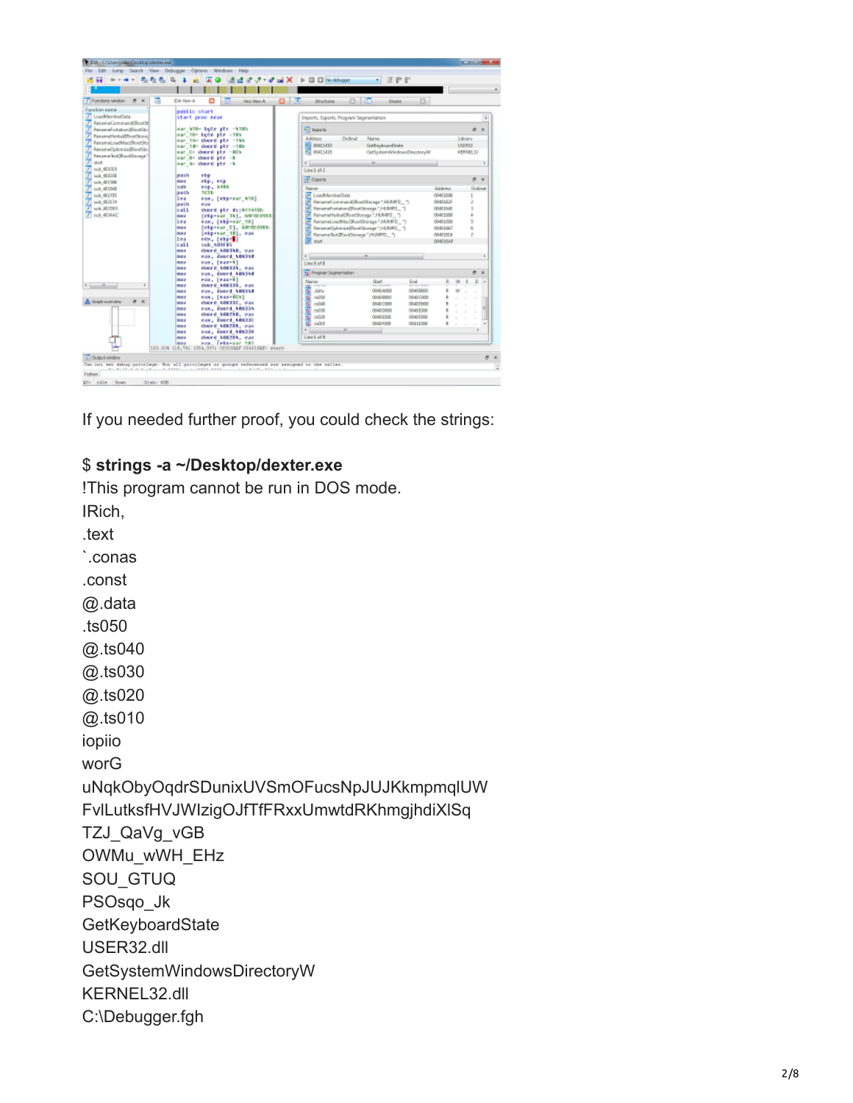

If you needed further proof, you could check the strings:

## \$ strings -a ~/Desktop/dexter.exe

!This program cannot be run in DOS mode.

IRich, .text Conas .const @ data .ts050 @.ts040 @.ts030 @.ts020 @.ts010 iopiio worG uNqkObyOqdrSDunixUVSmOFucsNpJUJKkmpmqlUW FvlLutksfHVJWlzigOJfTfFRxxUmwtdRKhmgjhdiXlSq TZJ QaVg vGB OWMu\_wWH\_EHz SOU GTUQ PSOsqo\_Jk GetKeyboardState USER32.dll GetSystemWindowsDirectoryW KERNEL32.dll C:\Debugger.fgh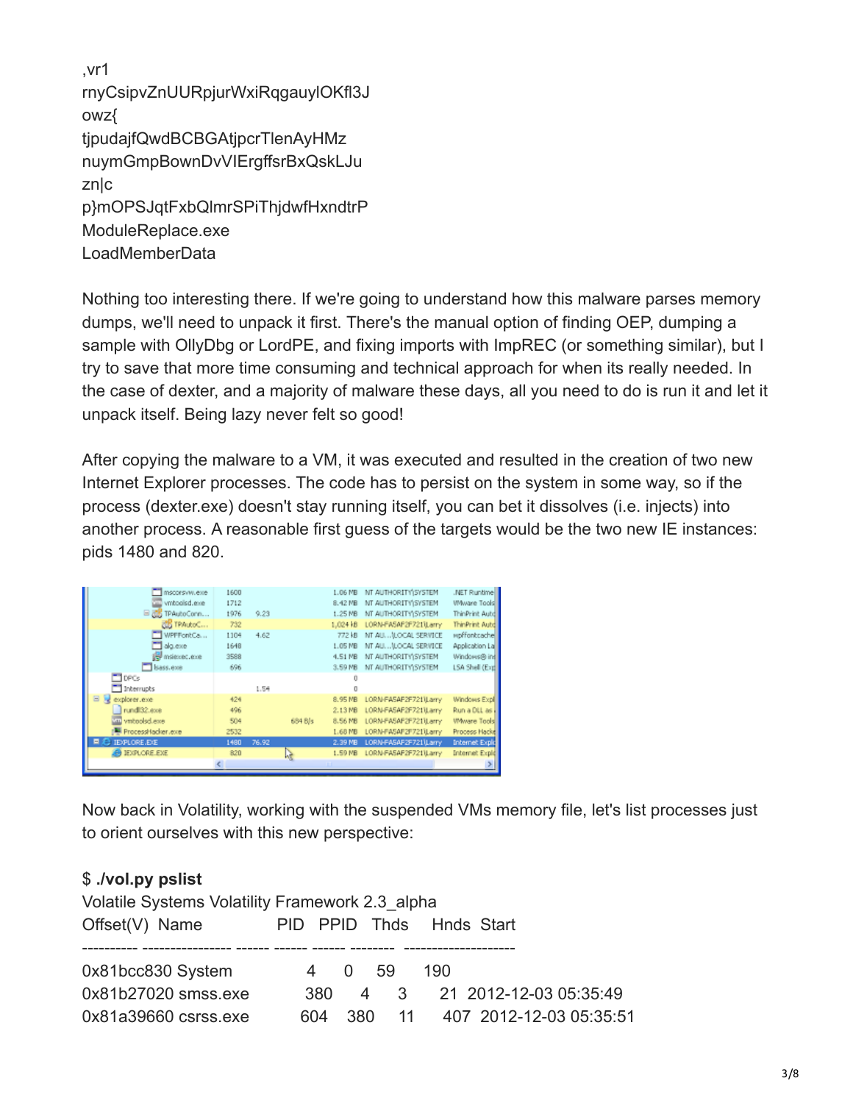,vr1 rnyCsipvZnUURpjurWxiRqgauylOKfl3J owz{ tjpudajfQwdBCBGAtjpcrTlenAyHMz nuymGmpBownDvVIErgffsrBxQskLJu zn|c p}mOPSJqtFxbQlmrSPiThjdwfHxndtrP ModuleReplace.exe LoadMemberData

Nothing too interesting there. If we're going to understand how this malware parses memory dumps, we'll need to unpack it first. There's the manual option of finding OEP, dumping a sample with OllyDbg or LordPE, and fixing imports with ImpREC (or something similar), but I try to save that more time consuming and technical approach for when its really needed. In the case of dexter, and a majority of malware these days, all you need to do is run it and let it unpack itself. Being lazy never felt so good!

After copying the malware to a VM, it was executed and resulted in the creation of two new Internet Explorer processes. The code has to persist on the system in some way, so if the process (dexter.exe) doesn't stay running itself, you can bet it dissolves (i.e. injects) into another process. A reasonable first guess of the targets would be the two new IE instances: pids 1480 and 820.

| mscorsyw.exe             | 1600 |       |         | $1.06$ MB         | NT AUTHORITY\SYSTEM   | .NET Runtime          |
|--------------------------|------|-------|---------|-------------------|-----------------------|-----------------------|
| with vmboolsd.exe        | 1712 |       |         | 8.42 MB           | NT AUTHORITY\SYSTEM   | Wwware Tools          |
| B RB TPAutoConn          | 1976 | 9.23  |         | $1.25$ MB         | NT AUTHORITY\SYSTEM   | ThinPrint Autd        |
| TPAutoC                  | 732  |       |         | 1,024kB           | LORN-FASAF2F721\Larry | ThinPrint Autd        |
| WPFFontCa                | 1104 | 4.62. |         | 772 kB            | NT AU (LOCAL SERVICE  | wpffontcache          |
| alguexe                  | 1648 |       |         | $1.05$ MB         | NT AU (LOCAL SERVICE  | Application La        |
| 图 msiexec.exe            | 3588 |       |         | 4.51 MB           | NT AUTHORITY\SYSTEM   | Windows® inf          |
| Bass.exe                 | 696  |       |         | 3.59 MB           | NT AUTHORITY\SYSTEM   | LSA Shell (Exp        |
| <b>FIDRG</b>             |      |       |         |                   |                       |                       |
| 1 Interrupts             |      | 1.54  |         |                   |                       |                       |
| $\Xi$<br>explorer.exe    | 426  |       |         | 8.95 MB           | LORN-FASAF2F721\Larry | Windows Expl          |
| rundl32.exe              | 496  |       |         | $2.13 \text{ MB}$ | LORN-FASAF2F721\Larry | Run a DLL as          |
| exe.belooterv un         | 504  |       | 684 B/s | 8.56 MB           | LORN-FASAF2F721\Larry | WWware Tools          |
| ProcessHacker.exe        | 2532 |       |         | 1.68 MB           | LORN-FASAF2F721\Larry | Process Hackel        |
| <b>IE/PLORE.E/E</b><br>- | 1480 | 76.92 |         | 2.39 MB           | LORN-FASAF2F721 Larry | <b>Internet Explo</b> |
| <b>BU IEXPLORE EXE</b>   | 820  |       |         | 1.59 MB           | LORN-FASAF2F721\Larry | Internet Expld        |
|                          |      |       |         |                   |                       |                       |
|                          |      |       |         |                   |                       |                       |

Now back in Volatility, working with the suspended VMs memory file, let's list processes just to orient ourselves with this new perspective:

### \$ **./vol.py pslist**

| Volatile Systems Volatility Framework 2.3 alpha |      |        |  |                                    |  |  |  |  |
|-------------------------------------------------|------|--------|--|------------------------------------|--|--|--|--|
| Offset(V) Name                                  |      |        |  | PID PPID Thds Hnds Start           |  |  |  |  |
|                                                 |      |        |  |                                    |  |  |  |  |
| 0x81bcc830 System                               |      | 4 0 59 |  | 190                                |  |  |  |  |
| 0x81b27020 smss.exe                             | .380 |        |  | 4 3 21 2012-12-03 05:35:49         |  |  |  |  |
| 0x81a39660 csrss.exe                            |      |        |  | 604 380 11 407 2012-12-03 05:35:51 |  |  |  |  |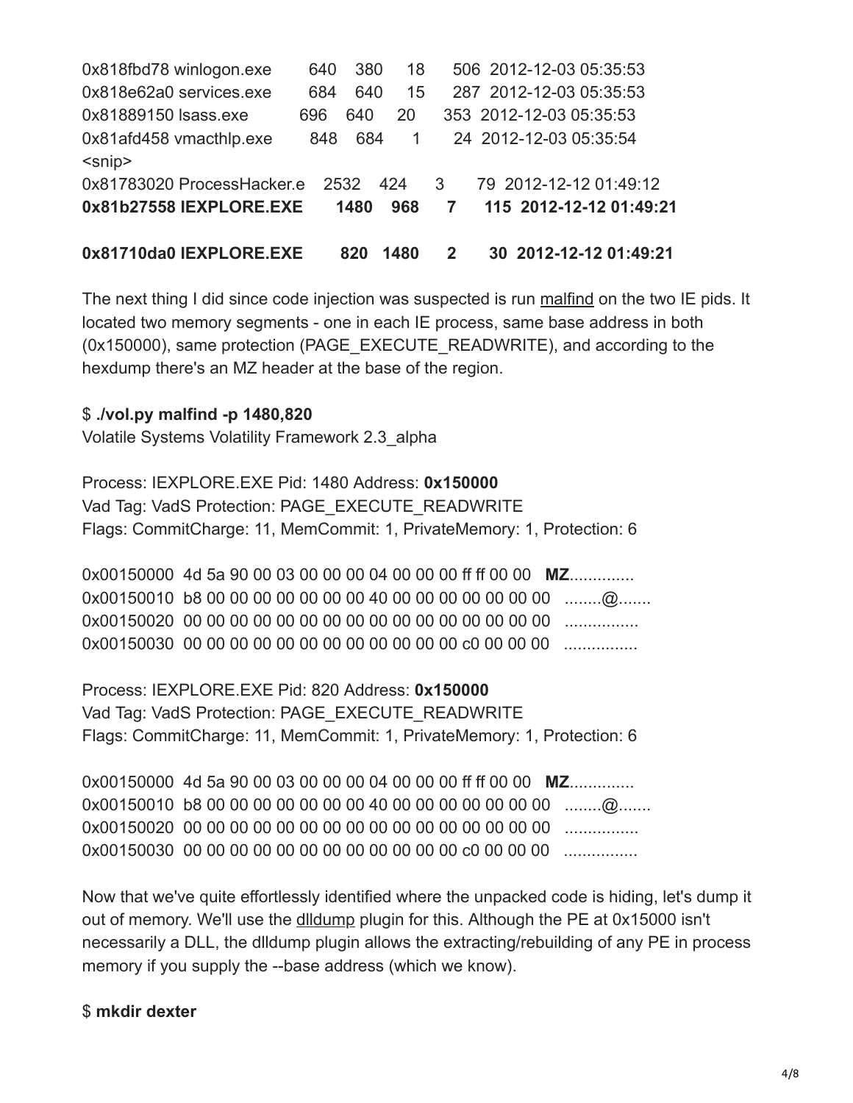| 0x818fbd78 winlogon.exe    | 640 | 380  | 18   |              | 506 2012-12-03 05:35:53 |  |
|----------------------------|-----|------|------|--------------|-------------------------|--|
| 0x818e62a0 services.exe    | 684 | 640  | 15   |              | 287 2012-12-03 05:35:53 |  |
| 0x81889150 Isass.exe       | 696 | 640  | 20   |              | 353 2012-12-03 05:35:53 |  |
| 0x81afd458 vmacthlp.exe    | 848 | 684  | 1    |              | 24 2012-12-03 05:35:54  |  |
| $<$ snip $>$               |     |      |      |              |                         |  |
| 0x81783020 ProcessHacker.e |     | 2532 | 424  | 3            | 79 2012-12-12 01:49:12  |  |
| 0x81b27558 IEXPLORE.EXE    |     | 1480 | 968  | $\mathbf{7}$ | 115 2012-12-12 01:49:21 |  |
|                            |     |      |      |              |                         |  |
| 0x81710da0 IEXPLORE.EXE    |     | 820  | 1480 | $\mathbf{2}$ | 30 2012-12-12 01:49:21  |  |

The next thing I did since code injection was suspected is run [malfind](http://code.google.com/p/volatility/wiki/CommandReferenceMal22#malfind) on the two IE pids. It located two memory segments - one in each IE process, same base address in both (0x150000), same protection (PAGE\_EXECUTE\_READWRITE), and according to the hexdump there's an MZ header at the base of the region.

### \$ **./vol.py malfind -p 1480,820**

Volatile Systems Volatility Framework 2.3\_alpha

Process: IEXPLORE.EXE Pid: 1480 Address: **0x150000** Vad Tag: VadS Protection: PAGE\_EXECUTE\_READWRITE Flags: CommitCharge: 11, MemCommit: 1, PrivateMemory: 1, Protection: 6

0x00150000 4d 5a 90 00 03 00 00 00 04 00 00 00 ff ff 00 00 **MZ**.............. 0x00150010 b8 00 00 00 00 00 00 00 40 00 00 00 00 00 00 00 ........@....... 0x00150020 00 00 00 00 00 00 00 00 00 00 00 00 00 00 00 00 ................ 0x00150030 00 00 00 00 00 00 00 00 00 00 00 00 c0 00 00 00 ................

Process: IEXPLORE.EXE Pid: 820 Address: **0x150000** Vad Tag: VadS Protection: PAGE\_EXECUTE\_READWRITE Flags: CommitCharge: 11, MemCommit: 1, PrivateMemory: 1, Protection: 6

0x00150000 4d 5a 90 00 03 00 00 00 04 00 00 00 ff ff 00 00 **MZ**.............. 0x00150010 b8 00 00 00 00 00 00 00 40 00 00 00 00 00 00 00 ........@....... 0x00150020 00 00 00 00 00 00 00 00 00 00 00 00 00 00 00 00 ................ 0x00150030 00 00 00 00 00 00 00 00 00 00 00 00 c0 00 00 00 ................

Now that we've quite effortlessly identified where the unpacked code is hiding, let's dump it out of memory. We'll use the [dlldump](http://code.google.com/p/volatility/wiki/CommandReference22#dlldump) plugin for this. Although the PE at 0x15000 isn't necessarily a DLL, the dlldump plugin allows the extracting/rebuilding of any PE in process memory if you supply the --base address (which we know).

### \$ **mkdir dexter**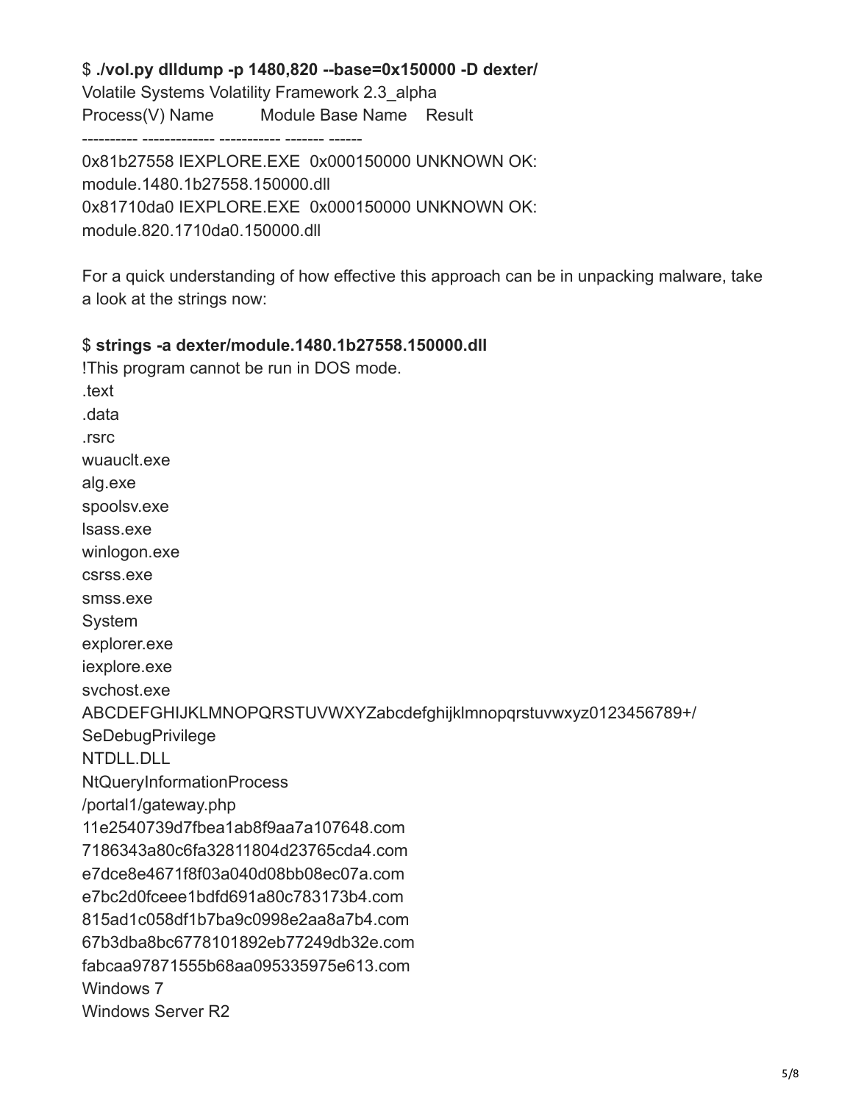#### \$ ./vol.py dlldump -p 1480,820 --base=0x150000 -D dexter/ Volatile Systems Volatility Framework 2.3 alpha Module Base Name Result Process(V) Name

0x81b27558 IEXPLORE.EXE 0x000150000 UNKNOWN OK: module.1480.1b27558.150000.dll 0x81710da0 IEXPLORE.EXE 0x000150000 UNKNOWN OK: module.820.1710da0.150000.dll

For a quick understanding of how effective this approach can be in unpacking malware, take a look at the strings now:

### \$ strings -a dexter/module.1480.1b27558.150000.dll

!This program cannot be run in DOS mode. .text data .rsrc wuauclt.exe alg.exe spoolsv.exe Isass.exe winlogon.exe csrss.exe smss.exe System explorer.exe iexplore.exe svchost.exe ABCDEFGHIJKLMNOPQRSTUVWXYZabcdefghijklmnopgrstuvwxyz0123456789+/ **SeDebugPrivilege** NTDLL.DLL **NtQueryInformationProcess** /portal1/gateway.php 11e2540739d7fbea1ab8f9aa7a107648.com 7186343a80c6fa32811804d23765cda4.com e7dce8e4671f8f03a040d08bb08ec07a.com e7bc2d0fceee1bdfd691a80c783173b4.com 815ad1c058df1b7ba9c0998e2aa8a7b4.com 67b3dba8bc6778101892eb77249db32e.com fabcaa97871555b68aa095335975e613.com Windows 7 Windows Server R2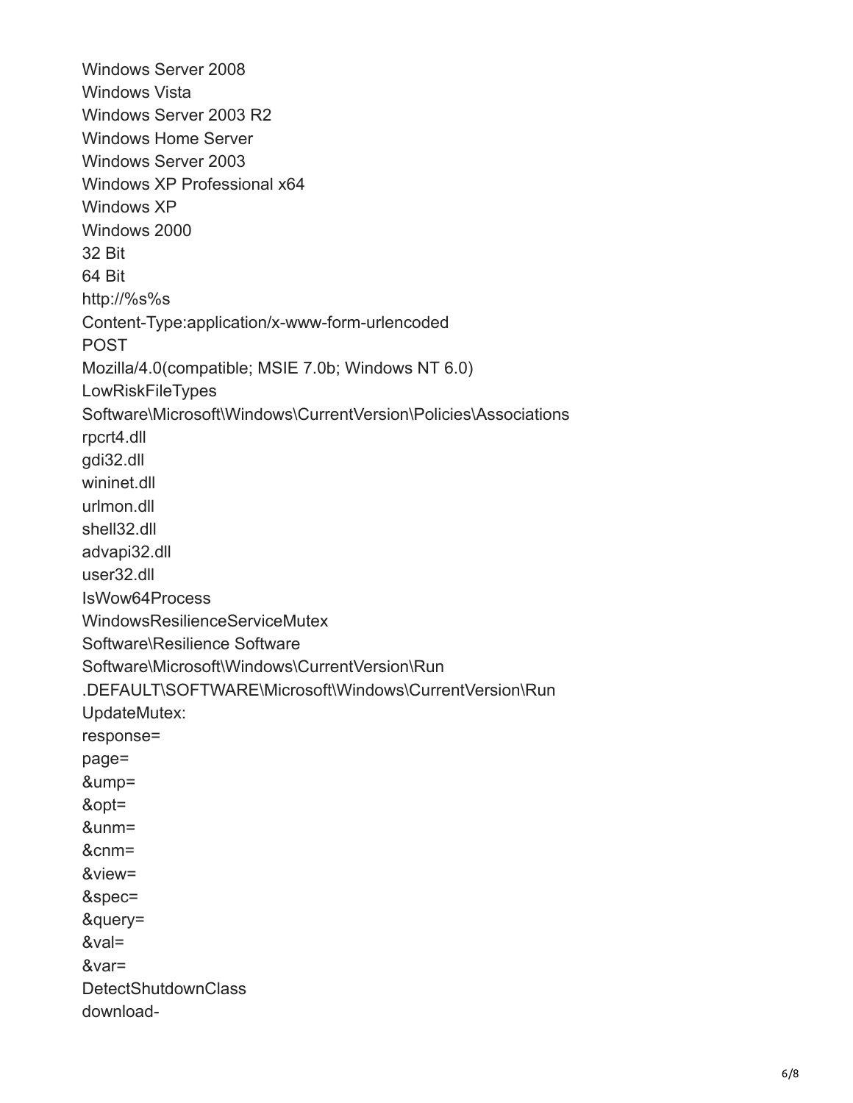Windows Server 2008 Windows Vista Windows Server 2003 R2 Windows Home Server Windows Server 2003 Windows XP Professional x64 Windows XP Windows 2000 32 Bit 64 Bit http://%s%s Content-Type:application/x-www-form-urlencoded POST Mozilla/4.0(compatible; MSIE 7.0b; Windows NT 6.0) **LowRiskFileTypes** Software\Microsoft\Windows\CurrentVersion\Policies\Associations rpcrt4.dll gdi32.dll wininet.dll urlmon.dll shell32.dll advapi32.dll user32.dll IsWow64Process WindowsResilienceServiceMutex Software\Resilience Software Software\Microsoft\Windows\CurrentVersion\Run .DEFAULT\SOFTWARE\Microsoft\Windows\CurrentVersion\Run UpdateMutex: response= page= &ump= &opt= &unm= &cnm= &view= &spec= &query= &val= &var= **DetectShutdownClass** download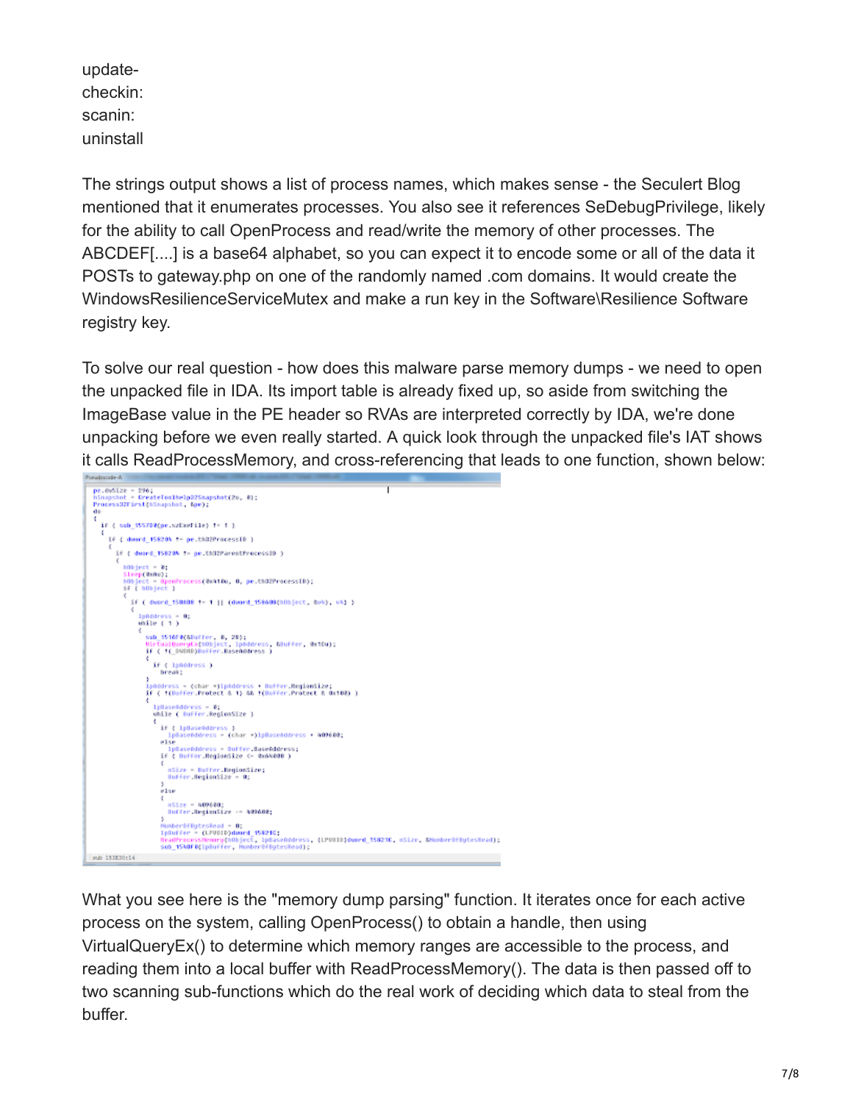updatecheckin: scanin: uninstall

The strings output shows a list of process names, which makes sense - the Seculert Blog mentioned that it enumerates processes. You also see it references SeDebugPrivilege, likely for the ability to call OpenProcess and read/write the memory of other processes. The ABCDEF[....] is a base64 alphabet, so you can expect it to encode some or all of the data it POSTs to gateway.php on one of the randomly named .com domains. It would create the WindowsResilienceServiceMutex and make a run key in the Software\Resilience Software registry key.

To solve our real question - how does this malware parse memory dumps - we need to open the unpacked file in IDA. Its import table is already fixed up, so aside from switching the ImageBase value in the PE header so RVAs are interpreted correctly by IDA, we're done unpacking before we even really started. A quick look through the unpacked file's IAT shows it calls ReadProcessMemory, and cross-referencing that leads to one function, shown below:



What you see here is the "memory dump parsing" function. It iterates once for each active process on the system, calling OpenProcess() to obtain a handle, then using VirtualQueryEx() to determine which memory ranges are accessible to the process, and reading them into a local buffer with ReadProcessMemory(). The data is then passed off to two scanning sub-functions which do the real work of deciding which data to steal from the buffer.